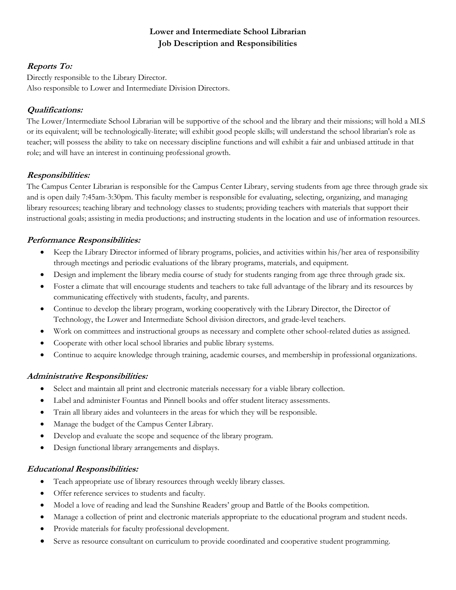# **Lower and Intermediate School Librarian Job Description and Responsibilities**

# **Reports To:**

Directly responsible to the Library Director. Also responsible to Lower and Intermediate Division Directors.

# **Qualifications:**

The Lower/Intermediate School Librarian will be supportive of the school and the library and their missions; will hold a MLS or its equivalent; will be technologically-literate; will exhibit good people skills; will understand the school librarian's role as teacher; will possess the ability to take on necessary discipline functions and will exhibit a fair and unbiased attitude in that role; and will have an interest in continuing professional growth.

## **Responsibilities:**

The Campus Center Librarian is responsible for the Campus Center Library, serving students from age three through grade six and is open daily 7:45am-3:30pm. This faculty member is responsible for evaluating, selecting, organizing, and managing library resources; teaching library and technology classes to students; providing teachers with materials that support their instructional goals; assisting in media productions; and instructing students in the location and use of information resources.

# **Performance Responsibilities:**

- Keep the Library Director informed of library programs, policies, and activities within his/her area of responsibility through meetings and periodic evaluations of the library programs, materials, and equipment.
- Design and implement the library media course of study for students ranging from age three through grade six.
- Foster a climate that will encourage students and teachers to take full advantage of the library and its resources by communicating effectively with students, faculty, and parents.
- Continue to develop the library program, working cooperatively with the Library Director, the Director of Technology, the Lower and Intermediate School division directors, and grade-level teachers.
- Work on committees and instructional groups as necessary and complete other school-related duties as assigned.
- Cooperate with other local school libraries and public library systems.
- Continue to acquire knowledge through training, academic courses, and membership in professional organizations.

## **Administrative Responsibilities:**

- Select and maintain all print and electronic materials necessary for a viable library collection.
- Label and administer Fountas and Pinnell books and offer student literacy assessments.
- Train all library aides and volunteers in the areas for which they will be responsible.
- Manage the budget of the Campus Center Library.
- Develop and evaluate the scope and sequence of the library program.
- Design functional library arrangements and displays.

## **Educational Responsibilities:**

- Teach appropriate use of library resources through weekly library classes.
- Offer reference services to students and faculty.
- Model a love of reading and lead the Sunshine Readers' group and Battle of the Books competition.
- Manage a collection of print and electronic materials appropriate to the educational program and student needs.
- Provide materials for faculty professional development.
- Serve as resource consultant on curriculum to provide coordinated and cooperative student programming.